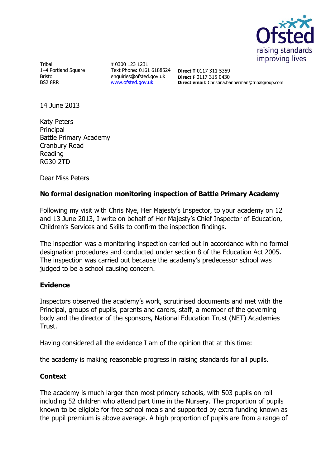

Tribal 1–4 Portland Square Bristol BS2 8RR

**T** 0300 123 1231 Text Phone: 0161 6188524 **Direct T** 0117 311 5359 enquiries@ofsted.gov.uk [www.ofsted.gov.uk](http://www.ofsted.gov.uk/)

**Direct F** 0117 315 0430 **Direct email**: Christina.bannerman@tribalgroup.com

14 June 2013

Katy Peters Principal Battle Primary Academy Cranbury Road Reading RG30 2TD

Dear Miss Peters

## **No formal designation monitoring inspection of Battle Primary Academy**

Following my visit with Chris Nye, Her Majesty's Inspector, to your academy on 12 and 13 June 2013, I write on behalf of Her Majesty's Chief Inspector of Education, Children's Services and Skills to confirm the inspection findings.

The inspection was a monitoring inspection carried out in accordance with no formal designation procedures and conducted under section 8 of the Education Act 2005. The inspection was carried out because the academy's predecessor school was judged to be a school causing concern.

## **Evidence**

Inspectors observed the academy's work, scrutinised documents and met with the Principal, groups of pupils, parents and carers, staff, a member of the governing body and the director of the sponsors, National Education Trust (NET) Academies Trust.

Having considered all the evidence I am of the opinion that at this time:

the academy is making reasonable progress in raising standards for all pupils.

## **Context**

The academy is much larger than most primary schools, with 503 pupils on roll including 52 children who attend part time in the Nursery. The proportion of pupils known to be eligible for free school meals and supported by extra funding known as the pupil premium is above average. A high proportion of pupils are from a range of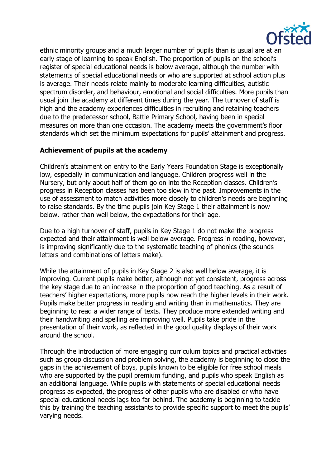

ethnic minority groups and a much larger number of pupils than is usual are at an early stage of learning to speak English. The proportion of pupils on the school's register of special educational needs is below average, although the number with statements of special educational needs or who are supported at school action plus is average. Their needs relate mainly to moderate learning difficulties, autistic spectrum disorder, and behaviour, emotional and social difficulties. More pupils than usual join the academy at different times during the year. The turnover of staff is high and the academy experiences difficulties in recruiting and retaining teachers due to the predecessor school, Battle Primary School, having been in special measures on more than one occasion. The academy meets the government's floor standards which set the minimum expectations for pupils' attainment and progress.

## **Achievement of pupils at the academy**

Children's attainment on entry to the Early Years Foundation Stage is exceptionally low, especially in communication and language. Children progress well in the Nursery, but only about half of them go on into the Reception classes. Children's progress in Reception classes has been too slow in the past. Improvements in the use of assessment to match activities more closely to children's needs are beginning to raise standards. By the time pupils join Key Stage 1 their attainment is now below, rather than well below, the expectations for their age.

Due to a high turnover of staff, pupils in Key Stage 1 do not make the progress expected and their attainment is well below average. Progress in reading, however, is improving significantly due to the systematic teaching of phonics (the sounds letters and combinations of letters make).

While the attainment of pupils in Key Stage 2 is also well below average, it is improving. Current pupils make better, although not yet consistent, progress across the key stage due to an increase in the proportion of good teaching. As a result of teachers' higher expectations, more pupils now reach the higher levels in their work. Pupils make better progress in reading and writing than in mathematics. They are beginning to read a wider range of texts. They produce more extended writing and their handwriting and spelling are improving well. Pupils take pride in the presentation of their work, as reflected in the good quality displays of their work around the school.

Through the introduction of more engaging curriculum topics and practical activities such as group discussion and problem solving, the academy is beginning to close the gaps in the achievement of boys, pupils known to be eligible for free school meals who are supported by the pupil premium funding, and pupils who speak English as an additional language. While pupils with statements of special educational needs progress as expected, the progress of other pupils who are disabled or who have special educational needs lags too far behind. The academy is beginning to tackle this by training the teaching assistants to provide specific support to meet the pupils' varying needs.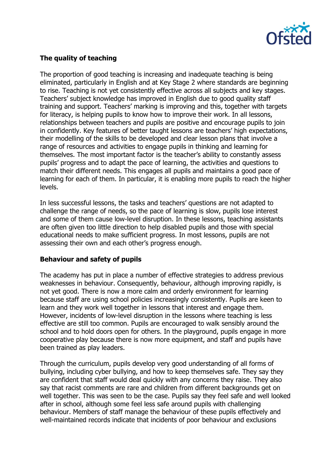

# **The quality of teaching**

The proportion of good teaching is increasing and inadequate teaching is being eliminated, particularly in English and at Key Stage 2 where standards are beginning to rise. Teaching is not yet consistently effective across all subjects and key stages. Teachers' subject knowledge has improved in English due to good quality staff training and support. Teachers' marking is improving and this, together with targets for literacy, is helping pupils to know how to improve their work. In all lessons, relationships between teachers and pupils are positive and encourage pupils to join in confidently. Key features of better taught lessons are teachers' high expectations, their modelling of the skills to be developed and clear lesson plans that involve a range of resources and activities to engage pupils in thinking and learning for themselves. The most important factor is the teacher's ability to constantly assess pupils' progress and to adapt the pace of learning, the activities and questions to match their different needs. This engages all pupils and maintains a good pace of learning for each of them. In particular, it is enabling more pupils to reach the higher levels.

In less successful lessons, the tasks and teachers' questions are not adapted to challenge the range of needs, so the pace of learning is slow, pupils lose interest and some of them cause low-level disruption. In these lessons, teaching assistants are often given too little direction to help disabled pupils and those with special educational needs to make sufficient progress. In most lessons, pupils are not assessing their own and each other's progress enough.

## **Behaviour and safety of pupils**

The academy has put in place a number of effective strategies to address previous weaknesses in behaviour. Consequently, behaviour, although improving rapidly, is not yet good. There is now a more calm and orderly environment for learning because staff are using school policies increasingly consistently. Pupils are keen to learn and they work well together in lessons that interest and engage them. However, incidents of low-level disruption in the lessons where teaching is less effective are still too common. Pupils are encouraged to walk sensibly around the school and to hold doors open for others. In the playground, pupils engage in more cooperative play because there is now more equipment, and staff and pupils have been trained as play leaders.

Through the curriculum, pupils develop very good understanding of all forms of bullying, including cyber bullying, and how to keep themselves safe. They say they are confident that staff would deal quickly with any concerns they raise. They also say that racist comments are rare and children from different backgrounds get on well together. This was seen to be the case. Pupils say they feel safe and well looked after in school, although some feel less safe around pupils with challenging behaviour. Members of staff manage the behaviour of these pupils effectively and well-maintained records indicate that incidents of poor behaviour and exclusions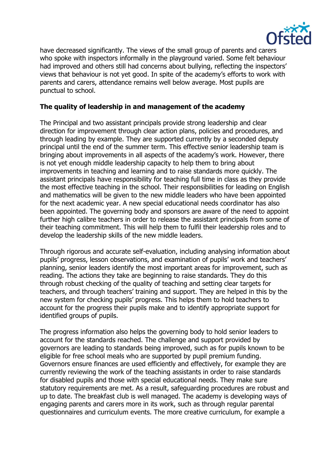

have decreased significantly. The views of the small group of parents and carers who spoke with inspectors informally in the playground varied. Some felt behaviour had improved and others still had concerns about bullying, reflecting the inspectors' views that behaviour is not yet good. In spite of the academy's efforts to work with parents and carers, attendance remains well below average. Most pupils are punctual to school.

## **The quality of leadership in and management of the academy**

The Principal and two assistant principals provide strong leadership and clear direction for improvement through clear action plans, policies and procedures, and through leading by example. They are supported currently by a seconded deputy principal until the end of the summer term. This effective senior leadership team is bringing about improvements in all aspects of the academy's work. However, there is not yet enough middle leadership capacity to help them to bring about improvements in teaching and learning and to raise standards more quickly. The assistant principals have responsibility for teaching full time in class as they provide the most effective teaching in the school. Their responsibilities for leading on English and mathematics will be given to the new middle leaders who have been appointed for the next academic year. A new special educational needs coordinator has also been appointed. The governing body and sponsors are aware of the need to appoint further high calibre teachers in order to release the assistant principals from some of their teaching commitment. This will help them to fulfil their leadership roles and to develop the leadership skills of the new middle leaders.

Through rigorous and accurate self-evaluation, including analysing information about pupils' progress, lesson observations, and examination of pupils' work and teachers' planning, senior leaders identify the most important areas for improvement, such as reading. The actions they take are beginning to raise standards. They do this through robust checking of the quality of teaching and setting clear targets for teachers, and through teachers' training and support. They are helped in this by the new system for checking pupils' progress. This helps them to hold teachers to account for the progress their pupils make and to identify appropriate support for identified groups of pupils.

The progress information also helps the governing body to hold senior leaders to account for the standards reached. The challenge and support provided by governors are leading to standards being improved, such as for pupils known to be eligible for free school meals who are supported by pupil premium funding. Governors ensure finances are used efficiently and effectively, for example they are currently reviewing the work of the teaching assistants in order to raise standards for disabled pupils and those with special educational needs. They make sure statutory requirements are met. As a result, safeguarding procedures are robust and up to date. The breakfast club is well managed. The academy is developing ways of engaging parents and carers more in its work, such as through regular parental questionnaires and curriculum events. The more creative curriculum, for example a